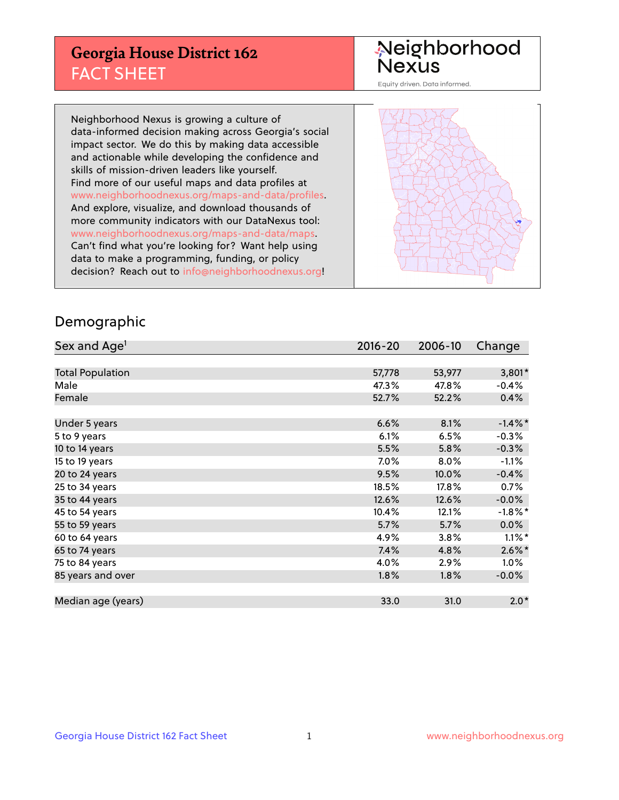## **Georgia House District 162** FACT SHEET

# Neighborhood<br>Nexus

Equity driven. Data informed.

Neighborhood Nexus is growing a culture of data-informed decision making across Georgia's social impact sector. We do this by making data accessible and actionable while developing the confidence and skills of mission-driven leaders like yourself. Find more of our useful maps and data profiles at www.neighborhoodnexus.org/maps-and-data/profiles. And explore, visualize, and download thousands of more community indicators with our DataNexus tool: www.neighborhoodnexus.org/maps-and-data/maps. Can't find what you're looking for? Want help using data to make a programming, funding, or policy decision? Reach out to [info@neighborhoodnexus.org!](mailto:info@neighborhoodnexus.org)



### Demographic

| Sex and Age <sup>1</sup> | $2016 - 20$ | 2006-10 | Change     |
|--------------------------|-------------|---------|------------|
|                          |             |         |            |
| <b>Total Population</b>  | 57,778      | 53,977  | $3,801*$   |
| Male                     | 47.3%       | 47.8%   | $-0.4%$    |
| Female                   | 52.7%       | 52.2%   | 0.4%       |
|                          |             |         |            |
| Under 5 years            | 6.6%        | 8.1%    | $-1.4\%$ * |
| 5 to 9 years             | 6.1%        | 6.5%    | $-0.3%$    |
| 10 to 14 years           | 5.5%        | 5.8%    | $-0.3%$    |
| 15 to 19 years           | 7.0%        | 8.0%    | $-1.1%$    |
| 20 to 24 years           | 9.5%        | 10.0%   | $-0.4%$    |
| 25 to 34 years           | 18.5%       | 17.8%   | 0.7%       |
| 35 to 44 years           | 12.6%       | 12.6%   | $-0.0%$    |
| 45 to 54 years           | 10.4%       | 12.1%   | $-1.8\%$ * |
| 55 to 59 years           | 5.7%        | 5.7%    | 0.0%       |
| 60 to 64 years           | 4.9%        | 3.8%    | $1.1\%$ *  |
| 65 to 74 years           | 7.4%        | 4.8%    | $2.6\%$ *  |
| 75 to 84 years           | 4.0%        | 2.9%    | $1.0\%$    |
| 85 years and over        | 1.8%        | 1.8%    | $-0.0%$    |
|                          |             |         |            |
| Median age (years)       | 33.0        | 31.0    | $2.0*$     |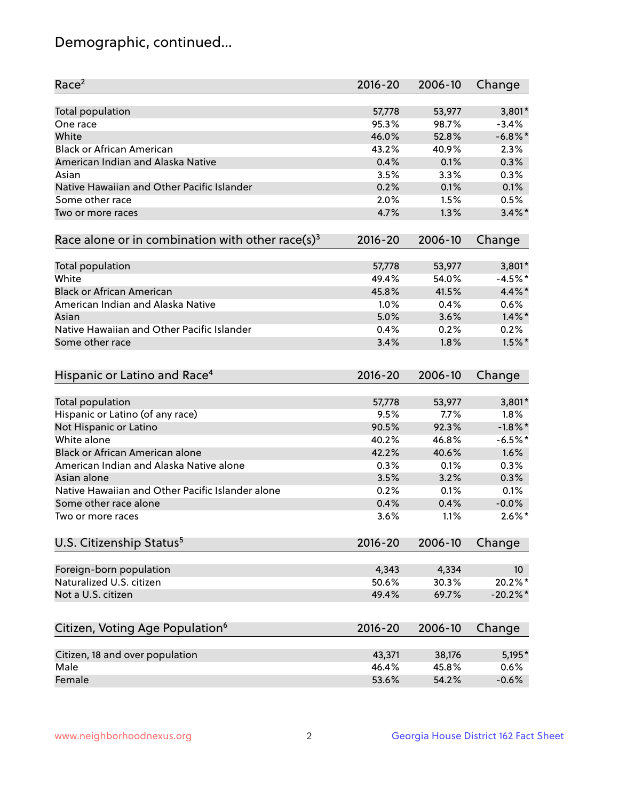## Demographic, continued...

| Race <sup>2</sup>                                            | $2016 - 20$ | 2006-10 | Change          |
|--------------------------------------------------------------|-------------|---------|-----------------|
| <b>Total population</b>                                      | 57,778      | 53,977  | $3,801*$        |
| One race                                                     | 95.3%       | 98.7%   | $-3.4%$         |
| White                                                        | 46.0%       | 52.8%   | $-6.8\%$ *      |
| <b>Black or African American</b>                             | 43.2%       | 40.9%   | 2.3%            |
| American Indian and Alaska Native                            | 0.4%        | 0.1%    | 0.3%            |
| Asian                                                        | 3.5%        | 3.3%    | 0.3%            |
| Native Hawaiian and Other Pacific Islander                   | 0.2%        | 0.1%    | 0.1%            |
| Some other race                                              | 2.0%        | 1.5%    | 0.5%            |
| Two or more races                                            | 4.7%        | 1.3%    | $3.4\%$ *       |
| Race alone or in combination with other race(s) <sup>3</sup> | $2016 - 20$ | 2006-10 | Change          |
|                                                              |             |         |                 |
| Total population                                             | 57,778      | 53,977  | $3,801*$        |
| White                                                        | 49.4%       | 54.0%   | $-4.5%$ *       |
| <b>Black or African American</b>                             | 45.8%       | 41.5%   | 4.4%*           |
| American Indian and Alaska Native                            | 1.0%        | 0.4%    | 0.6%            |
| Asian                                                        | 5.0%        | 3.6%    | $1.4\%$ *       |
| Native Hawaiian and Other Pacific Islander                   | 0.4%        | 0.2%    | 0.2%            |
| Some other race                                              | 3.4%        | 1.8%    | $1.5\%$ *       |
|                                                              |             |         |                 |
| Hispanic or Latino and Race <sup>4</sup>                     | $2016 - 20$ | 2006-10 | Change          |
|                                                              |             |         |                 |
| <b>Total population</b>                                      | 57,778      | 53,977  | $3,801*$        |
| Hispanic or Latino (of any race)                             | 9.5%        | 7.7%    | 1.8%            |
| Not Hispanic or Latino                                       | 90.5%       | 92.3%   | $-1.8\%$ *      |
| White alone                                                  | 40.2%       | 46.8%   | $-6.5%$ *       |
| Black or African American alone                              | 42.2%       | 40.6%   | 1.6%            |
| American Indian and Alaska Native alone                      | 0.3%        | 0.1%    | 0.3%            |
| Asian alone                                                  | 3.5%        | 3.2%    | 0.3%            |
| Native Hawaiian and Other Pacific Islander alone             | 0.2%        | 0.1%    | 0.1%            |
| Some other race alone                                        | 0.4%        | 0.4%    | $-0.0%$         |
| Two or more races                                            | 3.6%        | 1.1%    | $2.6\%$ *       |
| U.S. Citizenship Status <sup>5</sup>                         | $2016 - 20$ | 2006-10 | Change          |
|                                                              |             |         |                 |
| Foreign-born population                                      | 4,343       | 4,334   | 10 <sup>°</sup> |
| Naturalized U.S. citizen                                     | 50.6%       | 30.3%   | 20.2%*          |
| Not a U.S. citizen                                           | 49.4%       | 69.7%   | $-20.2%$        |
| Citizen, Voting Age Population <sup>6</sup>                  | $2016 - 20$ | 2006-10 | Change          |
| Citizen, 18 and over population                              | 43,371      | 38,176  | 5,195*          |
| Male                                                         | 46.4%       | 45.8%   | 0.6%            |
| Female                                                       | 53.6%       | 54.2%   | $-0.6%$         |
|                                                              |             |         |                 |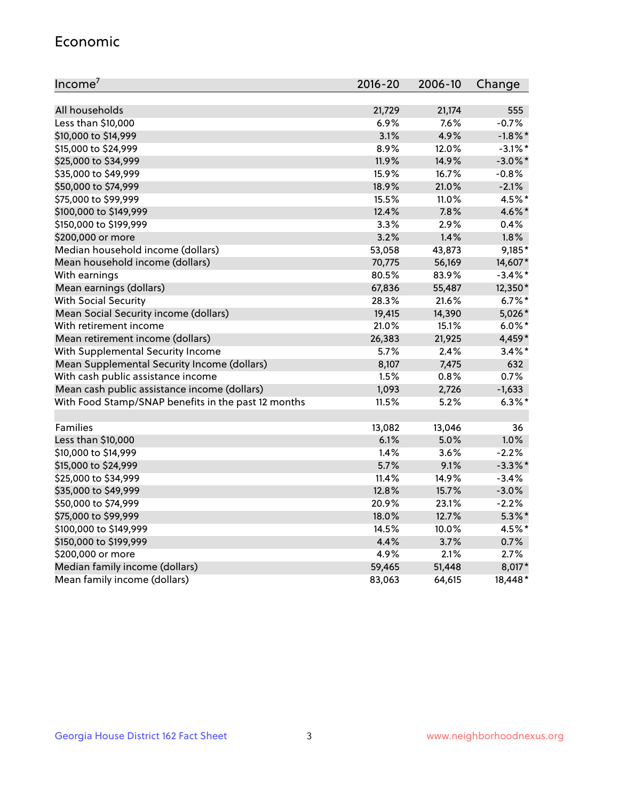#### Economic

| Income <sup>7</sup>                                 | 2016-20 | 2006-10 | Change     |
|-----------------------------------------------------|---------|---------|------------|
|                                                     |         |         |            |
| All households                                      | 21,729  | 21,174  | 555        |
| Less than \$10,000                                  | 6.9%    | 7.6%    | $-0.7%$    |
| \$10,000 to \$14,999                                | 3.1%    | 4.9%    | $-1.8\%$ * |
| \$15,000 to \$24,999                                | 8.9%    | 12.0%   | $-3.1\%$ * |
| \$25,000 to \$34,999                                | 11.9%   | 14.9%   | $-3.0\%$ * |
| \$35,000 to \$49,999                                | 15.9%   | 16.7%   | $-0.8%$    |
| \$50,000 to \$74,999                                | 18.9%   | 21.0%   | $-2.1%$    |
| \$75,000 to \$99,999                                | 15.5%   | 11.0%   | 4.5%*      |
| \$100,000 to \$149,999                              | 12.4%   | 7.8%    | 4.6%*      |
| \$150,000 to \$199,999                              | 3.3%    | 2.9%    | 0.4%       |
| \$200,000 or more                                   | 3.2%    | 1.4%    | 1.8%       |
| Median household income (dollars)                   | 53,058  | 43,873  | 9,185*     |
| Mean household income (dollars)                     | 70,775  | 56,169  | 14,607*    |
| With earnings                                       | 80.5%   | 83.9%   | $-3.4\%$ * |
| Mean earnings (dollars)                             | 67,836  | 55,487  | 12,350*    |
| <b>With Social Security</b>                         | 28.3%   | 21.6%   | $6.7\%$ *  |
| Mean Social Security income (dollars)               | 19,415  | 14,390  | 5,026*     |
| With retirement income                              | 21.0%   | 15.1%   | $6.0\%$ *  |
| Mean retirement income (dollars)                    | 26,383  | 21,925  | 4,459*     |
| With Supplemental Security Income                   | 5.7%    | 2.4%    | $3.4\%$ *  |
| Mean Supplemental Security Income (dollars)         | 8,107   | 7,475   | 632        |
| With cash public assistance income                  | 1.5%    | 0.8%    | 0.7%       |
| Mean cash public assistance income (dollars)        | 1,093   | 2,726   | $-1,633$   |
| With Food Stamp/SNAP benefits in the past 12 months | 11.5%   | 5.2%    | $6.3\%$ *  |
|                                                     |         |         |            |
| Families                                            | 13,082  | 13,046  | 36         |
| Less than \$10,000                                  | 6.1%    | 5.0%    | 1.0%       |
| \$10,000 to \$14,999                                | 1.4%    | 3.6%    | $-2.2%$    |
| \$15,000 to \$24,999                                | 5.7%    | 9.1%    | $-3.3\%$ * |
| \$25,000 to \$34,999                                | 11.4%   | 14.9%   | $-3.4%$    |
| \$35,000 to \$49,999                                | 12.8%   | 15.7%   | $-3.0%$    |
| \$50,000 to \$74,999                                | 20.9%   | 23.1%   | $-2.2%$    |
| \$75,000 to \$99,999                                | 18.0%   | 12.7%   | $5.3\%$ *  |
| \$100,000 to \$149,999                              | 14.5%   | 10.0%   | 4.5%*      |
| \$150,000 to \$199,999                              | 4.4%    | 3.7%    | 0.7%       |
| \$200,000 or more                                   | 4.9%    | 2.1%    | 2.7%       |
| Median family income (dollars)                      | 59,465  | 51,448  | 8,017*     |
| Mean family income (dollars)                        | 83,063  | 64,615  | 18,448*    |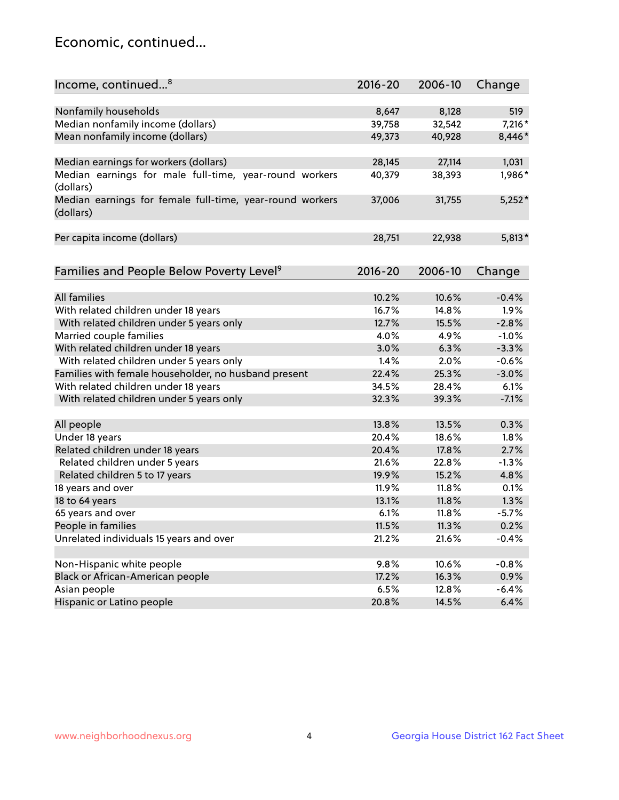## Economic, continued...

| Income, continued <sup>8</sup>                                        | $2016 - 20$ | 2006-10 | Change   |
|-----------------------------------------------------------------------|-------------|---------|----------|
|                                                                       |             |         |          |
| Nonfamily households                                                  | 8,647       | 8,128   | 519      |
| Median nonfamily income (dollars)                                     | 39,758      | 32,542  | $7,216*$ |
| Mean nonfamily income (dollars)                                       | 49,373      | 40,928  | 8,446*   |
| Median earnings for workers (dollars)                                 | 28,145      | 27,114  | 1,031    |
| Median earnings for male full-time, year-round workers                | 40,379      | 38,393  | 1,986*   |
| (dollars)                                                             |             |         |          |
| Median earnings for female full-time, year-round workers<br>(dollars) | 37,006      | 31,755  | $5,252*$ |
| Per capita income (dollars)                                           | 28,751      | 22,938  | $5,813*$ |
|                                                                       |             |         |          |
| Families and People Below Poverty Level <sup>9</sup>                  | 2016-20     | 2006-10 | Change   |
|                                                                       |             |         |          |
| <b>All families</b>                                                   | 10.2%       | 10.6%   | $-0.4%$  |
| With related children under 18 years                                  | 16.7%       | 14.8%   | 1.9%     |
| With related children under 5 years only                              | 12.7%       | 15.5%   | $-2.8%$  |
| Married couple families                                               | 4.0%        | 4.9%    | $-1.0%$  |
| With related children under 18 years                                  | 3.0%        | 6.3%    | $-3.3%$  |
| With related children under 5 years only                              | 1.4%        | 2.0%    | $-0.6%$  |
| Families with female householder, no husband present                  | 22.4%       | 25.3%   | $-3.0%$  |
| With related children under 18 years                                  | 34.5%       | 28.4%   | 6.1%     |
| With related children under 5 years only                              | 32.3%       | 39.3%   | $-7.1%$  |
| All people                                                            | 13.8%       | 13.5%   | 0.3%     |
| Under 18 years                                                        | 20.4%       | 18.6%   | 1.8%     |
| Related children under 18 years                                       | 20.4%       | 17.8%   | 2.7%     |
| Related children under 5 years                                        | 21.6%       | 22.8%   | $-1.3%$  |
| Related children 5 to 17 years                                        | 19.9%       | 15.2%   | 4.8%     |
| 18 years and over                                                     | 11.9%       | 11.8%   | 0.1%     |
| 18 to 64 years                                                        | 13.1%       | 11.8%   | 1.3%     |
| 65 years and over                                                     | 6.1%        | 11.8%   | $-5.7%$  |
| People in families                                                    | 11.5%       | 11.3%   | 0.2%     |
| Unrelated individuals 15 years and over                               | 21.2%       | 21.6%   | $-0.4%$  |
|                                                                       |             |         |          |
| Non-Hispanic white people                                             | 9.8%        | 10.6%   | $-0.8%$  |
| Black or African-American people                                      | 17.2%       | 16.3%   | 0.9%     |
| Asian people                                                          | 6.5%        | 12.8%   | $-6.4%$  |
| Hispanic or Latino people                                             | 20.8%       | 14.5%   | 6.4%     |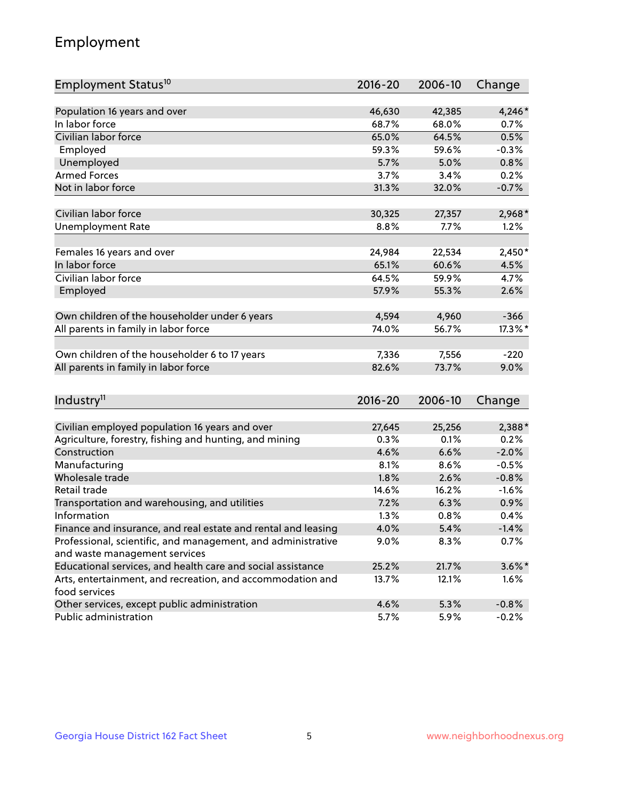## Employment

| Employment Status <sup>10</sup>                               | $2016 - 20$ | 2006-10 | Change    |
|---------------------------------------------------------------|-------------|---------|-----------|
|                                                               |             |         |           |
| Population 16 years and over                                  | 46,630      | 42,385  | 4,246*    |
| In labor force                                                | 68.7%       | 68.0%   | 0.7%      |
| Civilian labor force                                          | 65.0%       | 64.5%   | 0.5%      |
| Employed                                                      | 59.3%       | 59.6%   | $-0.3%$   |
| Unemployed                                                    | 5.7%        | 5.0%    | 0.8%      |
| <b>Armed Forces</b>                                           | 3.7%        | 3.4%    | 0.2%      |
| Not in labor force                                            | 31.3%       | 32.0%   | $-0.7%$   |
| Civilian labor force                                          |             |         |           |
|                                                               | 30,325      | 27,357  | 2,968*    |
| <b>Unemployment Rate</b>                                      | 8.8%        | 7.7%    | 1.2%      |
| Females 16 years and over                                     | 24,984      | 22,534  | 2,450*    |
| In labor force                                                | 65.1%       | 60.6%   | 4.5%      |
| Civilian labor force                                          | 64.5%       | 59.9%   | 4.7%      |
| Employed                                                      | 57.9%       | 55.3%   | 2.6%      |
|                                                               |             |         |           |
| Own children of the householder under 6 years                 | 4,594       | 4,960   | $-366$    |
| All parents in family in labor force                          | 74.0%       | 56.7%   | 17.3%*    |
|                                                               |             |         |           |
| Own children of the householder 6 to 17 years                 | 7,336       | 7,556   | $-220$    |
| All parents in family in labor force                          | 82.6%       | 73.7%   | 9.0%      |
|                                                               |             |         |           |
| Industry <sup>11</sup>                                        | $2016 - 20$ | 2006-10 | Change    |
| Civilian employed population 16 years and over                | 27,645      | 25,256  | 2,388*    |
| Agriculture, forestry, fishing and hunting, and mining        | 0.3%        | 0.1%    | 0.2%      |
| Construction                                                  | 4.6%        | 6.6%    | $-2.0%$   |
| Manufacturing                                                 | 8.1%        | 8.6%    | $-0.5%$   |
| Wholesale trade                                               | 1.8%        | 2.6%    | $-0.8%$   |
| Retail trade                                                  | 14.6%       | 16.2%   | $-1.6%$   |
| Transportation and warehousing, and utilities                 | 7.2%        | 6.3%    | 0.9%      |
| Information                                                   | 1.3%        | 0.8%    | 0.4%      |
| Finance and insurance, and real estate and rental and leasing | 4.0%        | 5.4%    | $-1.4%$   |
| Professional, scientific, and management, and administrative  | $9.0\%$     | 8.3%    | 0.7%      |
| and waste management services                                 |             |         |           |
| Educational services, and health care and social assistance   | 25.2%       | 21.7%   | $3.6\%$ * |
| Arts, entertainment, and recreation, and accommodation and    | 13.7%       | 12.1%   | 1.6%      |
| food services                                                 |             |         |           |
| Other services, except public administration                  | 4.6%        | 5.3%    | $-0.8%$   |
| Public administration                                         | 5.7%        | 5.9%    | $-0.2%$   |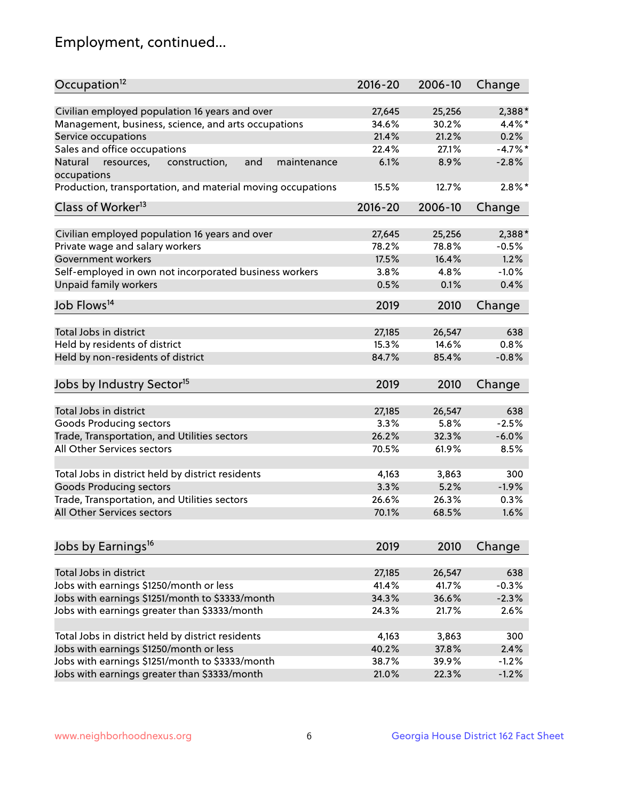## Employment, continued...

| Occupation <sup>12</sup>                                     | $2016 - 20$ | 2006-10 | Change     |
|--------------------------------------------------------------|-------------|---------|------------|
| Civilian employed population 16 years and over               | 27,645      | 25,256  | $2,388*$   |
| Management, business, science, and arts occupations          | 34.6%       | 30.2%   | $4.4\%$ *  |
| Service occupations                                          | 21.4%       | 21.2%   | 0.2%       |
| Sales and office occupations                                 | 22.4%       | 27.1%   | $-4.7\%$ * |
| Natural<br>and<br>resources,<br>construction,<br>maintenance | 6.1%        | 8.9%    | $-2.8%$    |
| occupations                                                  |             |         |            |
| Production, transportation, and material moving occupations  | 15.5%       | 12.7%   | $2.8\%$ *  |
| Class of Worker <sup>13</sup>                                | $2016 - 20$ | 2006-10 | Change     |
|                                                              |             |         |            |
| Civilian employed population 16 years and over               | 27,645      | 25,256  | $2,388*$   |
| Private wage and salary workers                              | 78.2%       | 78.8%   | $-0.5%$    |
| Government workers                                           | 17.5%       | 16.4%   | 1.2%       |
| Self-employed in own not incorporated business workers       | 3.8%        | 4.8%    | $-1.0%$    |
| Unpaid family workers                                        | 0.5%        | 0.1%    | 0.4%       |
| Job Flows <sup>14</sup>                                      | 2019        | 2010    | Change     |
|                                                              |             |         |            |
| Total Jobs in district                                       | 27,185      | 26,547  | 638        |
| Held by residents of district                                | 15.3%       | 14.6%   | 0.8%       |
| Held by non-residents of district                            | 84.7%       | 85.4%   | $-0.8%$    |
| Jobs by Industry Sector <sup>15</sup>                        | 2019        | 2010    | Change     |
| Total Jobs in district                                       | 27,185      | 26,547  | 638        |
| Goods Producing sectors                                      | 3.3%        | 5.8%    | $-2.5%$    |
| Trade, Transportation, and Utilities sectors                 | 26.2%       | 32.3%   | $-6.0%$    |
| All Other Services sectors                                   | 70.5%       | 61.9%   | 8.5%       |
|                                                              |             |         |            |
| Total Jobs in district held by district residents            | 4,163       | 3,863   | 300        |
| <b>Goods Producing sectors</b>                               | 3.3%        | 5.2%    | $-1.9%$    |
| Trade, Transportation, and Utilities sectors                 | 26.6%       | 26.3%   | 0.3%       |
| All Other Services sectors                                   | 70.1%       | 68.5%   | 1.6%       |
|                                                              |             |         |            |
| Jobs by Earnings <sup>16</sup>                               | 2019        | 2010    | Change     |
| Total Jobs in district                                       | 27,185      | 26,547  | 638        |
| Jobs with earnings \$1250/month or less                      | 41.4%       | 41.7%   | $-0.3%$    |
| Jobs with earnings \$1251/month to \$3333/month              | 34.3%       | 36.6%   | $-2.3%$    |
| Jobs with earnings greater than \$3333/month                 |             |         | 2.6%       |
|                                                              | 24.3%       | 21.7%   |            |
| Total Jobs in district held by district residents            | 4,163       | 3,863   | 300        |
| Jobs with earnings \$1250/month or less                      | 40.2%       | 37.8%   | 2.4%       |
| Jobs with earnings \$1251/month to \$3333/month              | 38.7%       | 39.9%   | $-1.2%$    |
| Jobs with earnings greater than \$3333/month                 | 21.0%       | 22.3%   | $-1.2%$    |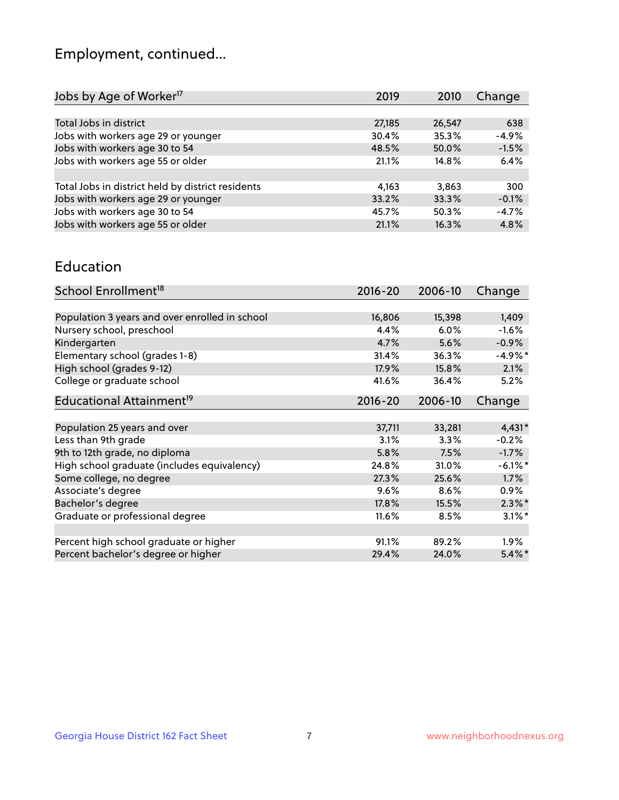## Employment, continued...

| 2019   | 2010   | Change  |
|--------|--------|---------|
|        |        |         |
| 27,185 | 26,547 | 638     |
| 30.4%  | 35.3%  | $-4.9%$ |
| 48.5%  | 50.0%  | $-1.5%$ |
| 21.1%  | 14.8%  | 6.4%    |
|        |        |         |
| 4,163  | 3,863  | 300     |
| 33.2%  | 33.3%  | $-0.1%$ |
| 45.7%  | 50.3%  | $-4.7%$ |
| 21.1%  | 16.3%  | 4.8%    |
|        |        |         |

#### Education

| School Enrollment <sup>18</sup>                | $2016 - 20$ | 2006-10 | Change                |
|------------------------------------------------|-------------|---------|-----------------------|
|                                                |             |         |                       |
| Population 3 years and over enrolled in school | 16,806      | 15,398  | 1,409                 |
| Nursery school, preschool                      | 4.4%        | 6.0%    | $-1.6%$               |
| Kindergarten                                   | 4.7%        | 5.6%    | $-0.9%$               |
| Elementary school (grades 1-8)                 | 31.4%       | 36.3%   | $-4.9%$ *             |
| High school (grades 9-12)                      | 17.9%       | 15.8%   | 2.1%                  |
| College or graduate school                     | 41.6%       | 36.4%   | 5.2%                  |
| Educational Attainment <sup>19</sup>           | $2016 - 20$ | 2006-10 | Change                |
|                                                |             |         |                       |
| Population 25 years and over                   | 37,711      | 33,281  | 4,431*                |
| Less than 9th grade                            | 3.1%        | 3.3%    | $-0.2%$               |
| 9th to 12th grade, no diploma                  | 5.8%        | 7.5%    | $-1.7%$               |
| High school graduate (includes equivalency)    | 24.8%       | 31.0%   | $-6.1\%$ <sup>*</sup> |
| Some college, no degree                        | 27.3%       | 25.6%   | 1.7%                  |
| Associate's degree                             | 9.6%        | 8.6%    | 0.9%                  |
| Bachelor's degree                              | 17.8%       | 15.5%   | $2.3\%$ *             |
| Graduate or professional degree                | 11.6%       | 8.5%    | $3.1\%$ *             |
|                                                |             |         |                       |
| Percent high school graduate or higher         | 91.1%       | 89.2%   | $1.9\%$               |
| Percent bachelor's degree or higher            | 29.4%       | 24.0%   | $5.4\%$ *             |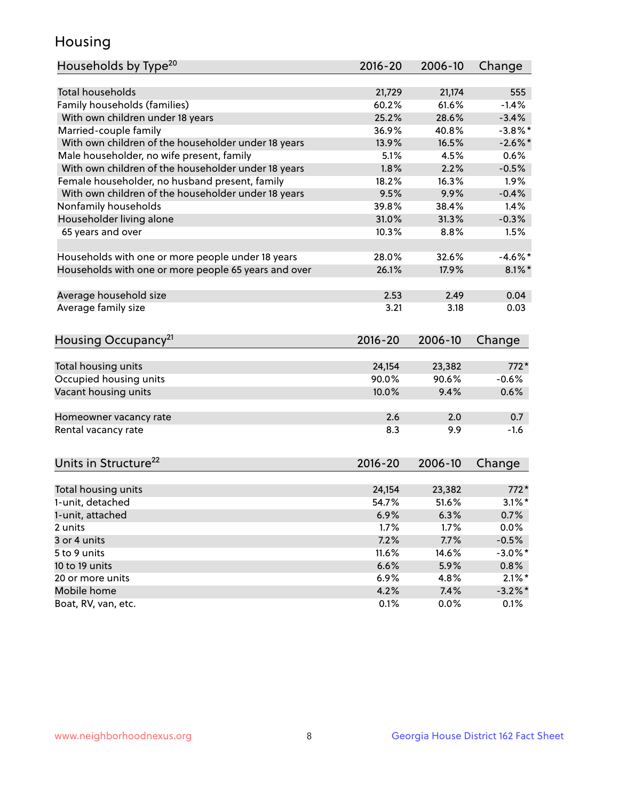## Housing

| Households by Type <sup>20</sup>                     | 2016-20     | 2006-10 | Change     |
|------------------------------------------------------|-------------|---------|------------|
|                                                      |             |         |            |
| <b>Total households</b>                              | 21,729      | 21,174  | 555        |
| Family households (families)                         | 60.2%       | 61.6%   | $-1.4%$    |
| With own children under 18 years                     | 25.2%       | 28.6%   | $-3.4%$    |
| Married-couple family                                | 36.9%       | 40.8%   | $-3.8\%$ * |
| With own children of the householder under 18 years  | 13.9%       | 16.5%   | $-2.6\%$ * |
| Male householder, no wife present, family            | 5.1%        | 4.5%    | 0.6%       |
| With own children of the householder under 18 years  | 1.8%        | 2.2%    | $-0.5%$    |
| Female householder, no husband present, family       | 18.2%       | 16.3%   | $1.9\%$    |
| With own children of the householder under 18 years  | 9.5%        | 9.9%    | $-0.4%$    |
| Nonfamily households                                 | 39.8%       | 38.4%   | 1.4%       |
| Householder living alone                             | 31.0%       | 31.3%   | $-0.3%$    |
| 65 years and over                                    | 10.3%       | 8.8%    | 1.5%       |
|                                                      |             |         |            |
| Households with one or more people under 18 years    | 28.0%       | 32.6%   | $-4.6\%$ * |
| Households with one or more people 65 years and over | 26.1%       | 17.9%   | $8.1\%$    |
|                                                      |             |         |            |
| Average household size                               | 2.53        | 2.49    | 0.04       |
| Average family size                                  | 3.21        | 3.18    | 0.03       |
|                                                      |             |         |            |
| Housing Occupancy <sup>21</sup>                      | 2016-20     | 2006-10 | Change     |
|                                                      |             |         |            |
| Total housing units                                  | 24,154      | 23,382  | $772*$     |
| Occupied housing units                               | 90.0%       | 90.6%   | $-0.6%$    |
| Vacant housing units                                 | 10.0%       | 9.4%    | 0.6%       |
|                                                      |             |         |            |
| Homeowner vacancy rate                               | 2.6         | 2.0     | 0.7        |
| Rental vacancy rate                                  | 8.3         | 9.9     | $-1.6$     |
|                                                      |             |         |            |
| Units in Structure <sup>22</sup>                     | $2016 - 20$ | 2006-10 | Change     |
|                                                      |             |         |            |
| Total housing units                                  | 24,154      | 23,382  | $772*$     |
| 1-unit, detached                                     | 54.7%       | 51.6%   | $3.1\%$ *  |
| 1-unit, attached                                     | 6.9%        | 6.3%    | 0.7%       |
| 2 units                                              | 1.7%        | 1.7%    | 0.0%       |
| 3 or 4 units                                         | 7.2%        | 7.7%    | $-0.5%$    |
| 5 to 9 units                                         | 11.6%       | 14.6%   | $-3.0\%$ * |
| 10 to 19 units                                       | 6.6%        | 5.9%    | 0.8%       |
| 20 or more units                                     | 6.9%        | 4.8%    | $2.1\%$ *  |
| Mobile home                                          | 4.2%        | 7.4%    | $-3.2\%$ * |
| Boat, RV, van, etc.                                  | 0.1%        | 0.0%    | 0.1%       |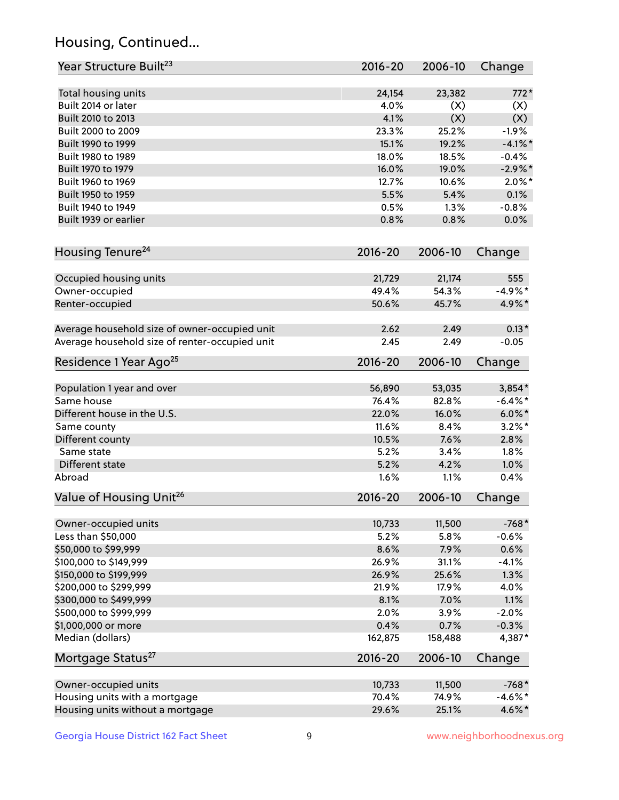## Housing, Continued...

| Year Structure Built <sup>23</sup>             | 2016-20     | 2006-10 | Change     |
|------------------------------------------------|-------------|---------|------------|
| Total housing units                            | 24,154      | 23,382  | $772*$     |
| Built 2014 or later                            | 4.0%        | (X)     | (X)        |
| Built 2010 to 2013                             | 4.1%        | (X)     | (X)        |
| Built 2000 to 2009                             | 23.3%       | 25.2%   | $-1.9%$    |
| Built 1990 to 1999                             | 15.1%       | 19.2%   | $-4.1\%$ * |
| Built 1980 to 1989                             | 18.0%       | 18.5%   | $-0.4%$    |
| Built 1970 to 1979                             | 16.0%       | 19.0%   | $-2.9%$ *  |
| Built 1960 to 1969                             | 12.7%       | 10.6%   | $2.0\%$ *  |
| Built 1950 to 1959                             | 5.5%        | 5.4%    | 0.1%       |
| Built 1940 to 1949                             | 0.5%        | 1.3%    | $-0.8%$    |
| Built 1939 or earlier                          | 0.8%        | 0.8%    | 0.0%       |
| Housing Tenure <sup>24</sup>                   | $2016 - 20$ | 2006-10 | Change     |
| Occupied housing units                         | 21,729      | 21,174  | 555        |
| Owner-occupied                                 | 49.4%       | 54.3%   | $-4.9%$ *  |
| Renter-occupied                                | 50.6%       | 45.7%   | 4.9%*      |
| Average household size of owner-occupied unit  | 2.62        | 2.49    | $0.13*$    |
| Average household size of renter-occupied unit | 2.45        | 2.49    | $-0.05$    |
| Residence 1 Year Ago <sup>25</sup>             | $2016 - 20$ | 2006-10 | Change     |
| Population 1 year and over                     | 56,890      | 53,035  | $3,854*$   |
| Same house                                     | 76.4%       | 82.8%   | $-6.4\%$ * |
| Different house in the U.S.                    | 22.0%       | 16.0%   | $6.0\%$ *  |
| Same county                                    | 11.6%       | 8.4%    | $3.2\%$ *  |
| Different county                               | 10.5%       | 7.6%    | 2.8%       |
| Same state                                     | 5.2%        | 3.4%    | 1.8%       |
| Different state                                | 5.2%        | 4.2%    | 1.0%       |
| Abroad                                         | 1.6%        | 1.1%    | 0.4%       |
| Value of Housing Unit <sup>26</sup>            | 2016-20     | 2006-10 | Change     |
| Owner-occupied units                           | 10,733      | 11,500  | $-768*$    |
| Less than \$50,000                             | 5.2%        | 5.8%    | $-0.6%$    |
| \$50,000 to \$99,999                           | 8.6%        | 7.9%    | 0.6%       |
| \$100,000 to \$149,999                         | 26.9%       | 31.1%   | $-4.1%$    |
| \$150,000 to \$199,999                         | 26.9%       | 25.6%   | 1.3%       |
| \$200,000 to \$299,999                         | 21.9%       | 17.9%   | 4.0%       |
| \$300,000 to \$499,999                         | 8.1%        | 7.0%    | 1.1%       |
| \$500,000 to \$999,999                         | 2.0%        | 3.9%    | $-2.0%$    |
| \$1,000,000 or more                            | 0.4%        | 0.7%    | $-0.3%$    |
| Median (dollars)                               | 162,875     | 158,488 | 4,387*     |
| Mortgage Status <sup>27</sup>                  | $2016 - 20$ | 2006-10 | Change     |
| Owner-occupied units                           | 10,733      | 11,500  | $-768*$    |
| Housing units with a mortgage                  | 70.4%       | 74.9%   | $-4.6\%$ * |
| Housing units without a mortgage               | 29.6%       | 25.1%   | 4.6%*      |
|                                                |             |         |            |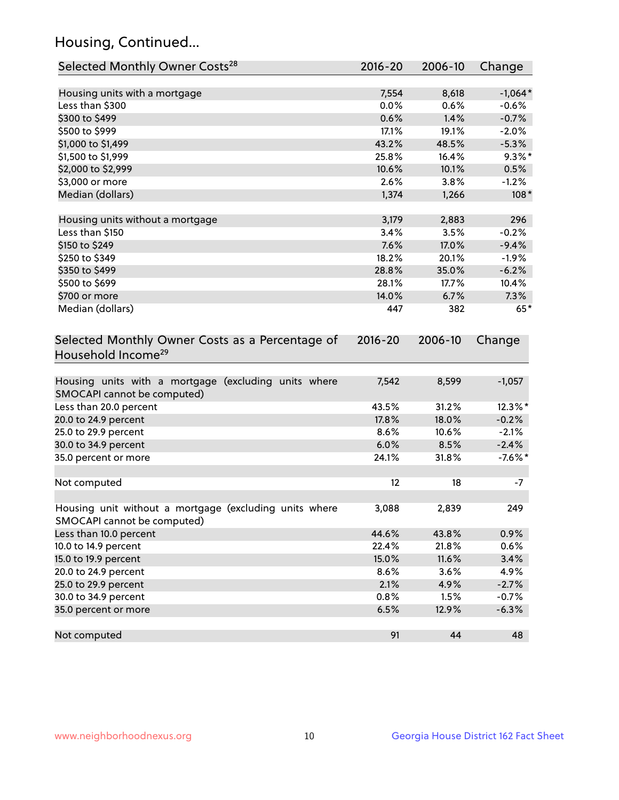## Housing, Continued...

| Selected Monthly Owner Costs <sup>28</sup>                                            | 2016-20     | 2006-10 | Change    |
|---------------------------------------------------------------------------------------|-------------|---------|-----------|
| Housing units with a mortgage                                                         | 7,554       | 8,618   | $-1,064*$ |
| Less than \$300                                                                       | 0.0%        | 0.6%    | $-0.6%$   |
| \$300 to \$499                                                                        | 0.6%        | 1.4%    | $-0.7%$   |
| \$500 to \$999                                                                        | 17.1%       | 19.1%   | $-2.0%$   |
| \$1,000 to \$1,499                                                                    | 43.2%       | 48.5%   | $-5.3%$   |
| \$1,500 to \$1,999                                                                    | 25.8%       | 16.4%   | $9.3\%$ * |
| \$2,000 to \$2,999                                                                    | 10.6%       | 10.1%   | 0.5%      |
| \$3,000 or more                                                                       | 2.6%        | 3.8%    | $-1.2%$   |
| Median (dollars)                                                                      | 1,374       | 1,266   | $108*$    |
| Housing units without a mortgage                                                      | 3,179       | 2,883   | 296       |
| Less than \$150                                                                       | 3.4%        | 3.5%    | $-0.2%$   |
| \$150 to \$249                                                                        | 7.6%        | 17.0%   | $-9.4%$   |
| \$250 to \$349                                                                        | 18.2%       | 20.1%   | $-1.9%$   |
| \$350 to \$499                                                                        | 28.8%       | 35.0%   | $-6.2%$   |
| \$500 to \$699                                                                        | 28.1%       | 17.7%   | 10.4%     |
| \$700 or more                                                                         | 14.0%       | 6.7%    | 7.3%      |
| Median (dollars)                                                                      | 447         | 382     | $65*$     |
| Selected Monthly Owner Costs as a Percentage of<br>Household Income <sup>29</sup>     | $2016 - 20$ |         | Change    |
| Housing units with a mortgage (excluding units where<br>SMOCAPI cannot be computed)   | 7,542       | 8,599   | $-1,057$  |
| Less than 20.0 percent                                                                | 43.5%       | 31.2%   | 12.3%*    |
| 20.0 to 24.9 percent                                                                  | 17.8%       | 18.0%   | $-0.2%$   |
| 25.0 to 29.9 percent                                                                  | 8.6%        | 10.6%   | $-2.1%$   |
| 30.0 to 34.9 percent                                                                  | 6.0%        | 8.5%    | $-2.4%$   |
| 35.0 percent or more                                                                  | 24.1%       | 31.8%   | $-7.6%$ * |
| Not computed                                                                          | 12          | 18      | $-7$      |
| Housing unit without a mortgage (excluding units where<br>SMOCAPI cannot be computed) | 3,088       | 2,839   | 249       |
| Less than 10.0 percent                                                                | 44.6%       | 43.8%   | 0.9%      |
| 10.0 to 14.9 percent                                                                  | 22.4%       | 21.8%   | 0.6%      |
| 15.0 to 19.9 percent                                                                  | 15.0%       | 11.6%   | 3.4%      |
| 20.0 to 24.9 percent                                                                  | 8.6%        | 3.6%    | 4.9%      |
| 25.0 to 29.9 percent                                                                  | 2.1%        | 4.9%    | $-2.7%$   |
| 30.0 to 34.9 percent                                                                  | 0.8%        | 1.5%    | $-0.7%$   |
| 35.0 percent or more                                                                  | 6.5%        | 12.9%   | $-6.3%$   |
| Not computed                                                                          | 91          | 44      | 48        |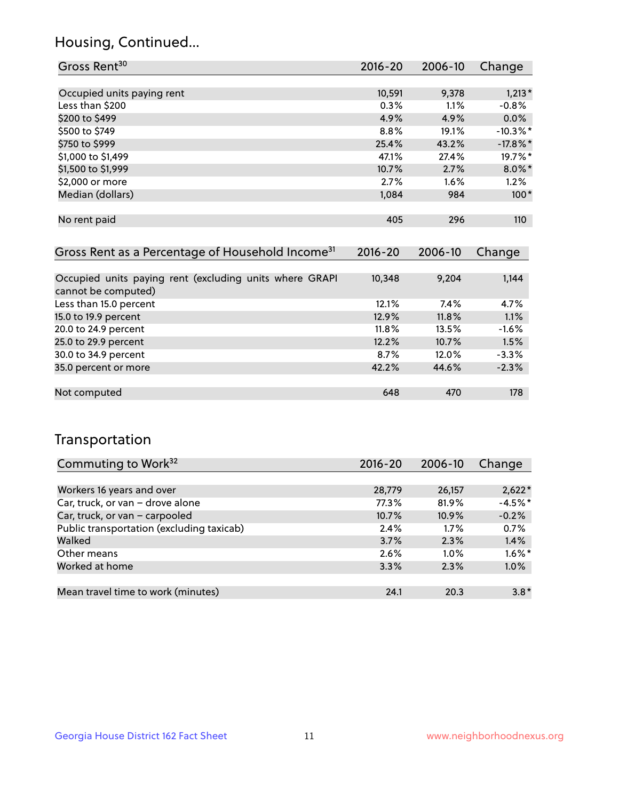## Housing, Continued...

| Gross Rent <sup>30</sup>   | 2016-20 | 2006-10 | Change      |
|----------------------------|---------|---------|-------------|
|                            |         |         |             |
| Occupied units paying rent | 10,591  | 9,378   | $1,213*$    |
| Less than \$200            | 0.3%    | 1.1%    | $-0.8%$     |
| \$200 to \$499             | 4.9%    | 4.9%    | $0.0\%$     |
| \$500 to \$749             | 8.8%    | 19.1%   | $-10.3\%$ * |
| \$750 to \$999             | 25.4%   | 43.2%   | $-17.8\%$ * |
| \$1,000 to \$1,499         | 47.1%   | 27.4%   | 19.7%*      |
| \$1,500 to \$1,999         | 10.7%   | 2.7%    | $8.0\%$ *   |
| \$2,000 or more            | 2.7%    | $1.6\%$ | 1.2%        |
| Median (dollars)           | 1,084   | 984     | $100*$      |
|                            |         |         |             |
| No rent paid               | 405     | 296     | 110         |

| Gross Rent as a Percentage of Household Income <sup>31</sup>                   | $2016 - 20$ | 2006-10 | Change  |
|--------------------------------------------------------------------------------|-------------|---------|---------|
|                                                                                |             |         |         |
| Occupied units paying rent (excluding units where GRAPI<br>cannot be computed) | 10,348      | 9,204   | 1,144   |
| Less than 15.0 percent                                                         | 12.1%       | 7.4%    | 4.7%    |
| 15.0 to 19.9 percent                                                           | 12.9%       | 11.8%   | 1.1%    |
| 20.0 to 24.9 percent                                                           | $11.8\%$    | 13.5%   | $-1.6%$ |
| 25.0 to 29.9 percent                                                           | 12.2%       | 10.7%   | 1.5%    |
| 30.0 to 34.9 percent                                                           | 8.7%        | 12.0%   | $-3.3%$ |
| 35.0 percent or more                                                           | 42.2%       | 44.6%   | $-2.3%$ |
| Not computed                                                                   | 648         | 470     | 178     |

## Transportation

| Commuting to Work <sup>32</sup>           | 2016-20 | 2006-10 | Change    |
|-------------------------------------------|---------|---------|-----------|
|                                           |         |         |           |
| Workers 16 years and over                 | 28,779  | 26,157  | $2,622*$  |
| Car, truck, or van - drove alone          | 77.3%   | 81.9%   | $-4.5%$ * |
| Car, truck, or van - carpooled            | 10.7%   | 10.9%   | $-0.2%$   |
| Public transportation (excluding taxicab) | 2.4%    | $1.7\%$ | 0.7%      |
| Walked                                    | 3.7%    | 2.3%    | 1.4%      |
| Other means                               | 2.6%    | $1.0\%$ | $1.6\%$ * |
| Worked at home                            | 3.3%    | 2.3%    | 1.0%      |
|                                           |         |         |           |
| Mean travel time to work (minutes)        | 24.1    | 20.3    | $3.8*$    |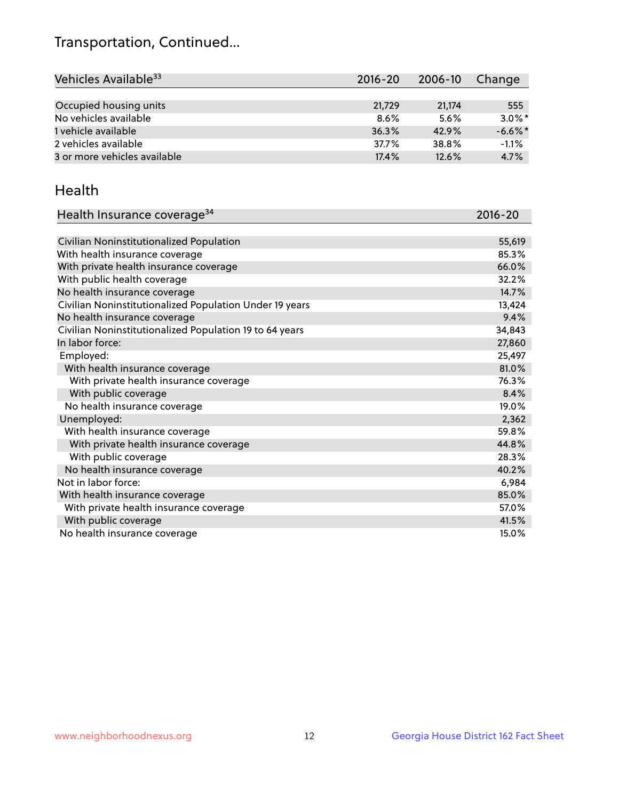## Transportation, Continued...

| Vehicles Available <sup>33</sup> | $2016 - 20$ | 2006-10 | Change     |
|----------------------------------|-------------|---------|------------|
|                                  |             |         |            |
| Occupied housing units           | 21,729      | 21,174  | 555        |
| No vehicles available            | 8.6%        | 5.6%    | $3.0\%$ *  |
| 1 vehicle available              | 36.3%       | 42.9%   | $-6.6\%$ * |
| 2 vehicles available             | 37.7%       | 38.8%   | $-1.1%$    |
| 3 or more vehicles available     | 17.4%       | 12.6%   | 4.7%       |

#### Health

| Health Insurance coverage <sup>34</sup>                 | 2016-20 |
|---------------------------------------------------------|---------|
|                                                         |         |
| Civilian Noninstitutionalized Population                | 55,619  |
| With health insurance coverage                          | 85.3%   |
| With private health insurance coverage                  | 66.0%   |
| With public health coverage                             | 32.2%   |
| No health insurance coverage                            | 14.7%   |
| Civilian Noninstitutionalized Population Under 19 years | 13,424  |
| No health insurance coverage                            | 9.4%    |
| Civilian Noninstitutionalized Population 19 to 64 years | 34,843  |
| In labor force:                                         | 27,860  |
| Employed:                                               | 25,497  |
| With health insurance coverage                          | 81.0%   |
| With private health insurance coverage                  | 76.3%   |
| With public coverage                                    | 8.4%    |
| No health insurance coverage                            | 19.0%   |
| Unemployed:                                             | 2,362   |
| With health insurance coverage                          | 59.8%   |
| With private health insurance coverage                  | 44.8%   |
| With public coverage                                    | 28.3%   |
| No health insurance coverage                            | 40.2%   |
| Not in labor force:                                     | 6,984   |
| With health insurance coverage                          | 85.0%   |
| With private health insurance coverage                  | 57.0%   |
| With public coverage                                    | 41.5%   |
| No health insurance coverage                            | 15.0%   |